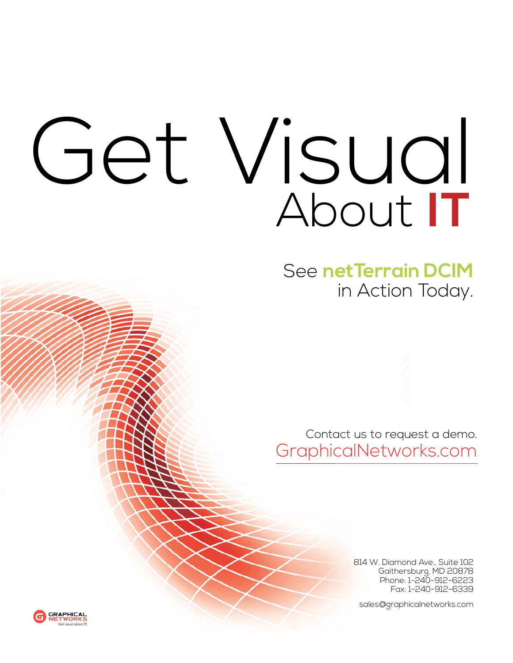## Get Visual About **IT**

See **netTerrain DCIM** in Action Today.

Contact us to request a demo. GraphicalNetworks.com

> 814 W. Diamond Ave., Suite 102 Gaithersburg, MD 20878 Phone: 1-240-912-6223 Fax: 1-240-912-6339

sales@graphicalnetworks.com

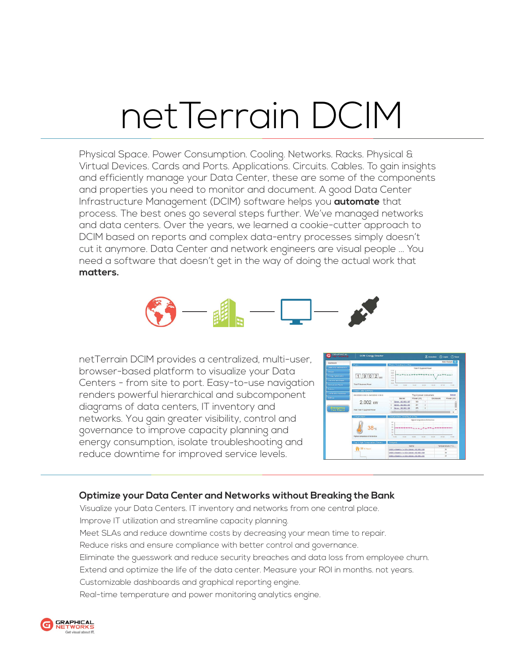## netTerrain DCIM

Physical Space. Power Consumption. Cooling. Networks. Racks. Physical & Virtual Devices. Cards and Ports. Applications. Circuits. Cables. To gain insights and efficiently manage your Data Center, these are some of the components and properties you need to monitor and document. A good Data Center Infrastructure Management (DCIM) software helps you **automate** that process. The best ones go several steps further. We've managed networks and data centers. Over the years, we learned a cookie-cutter approach to DCIM based on reports and complex data-entry processes simply doesn't cut it anymore. Data Center and network engineers are visual people ... You need a software that doesn't get in the way of doing the actual work that **matters.**



netTerrain DCIM provides a centralized, multi-user, browser-based platform to visualize your Data Centers - from site to port. Easy-to-use navigation renders powerful hierarchical and subcomponent diagrams of data centers, IT inventory and networks. You gain greater visibility, control and governance to improve capacity planning and energy consumption, isolate troubleshooting and reduce downtime for improved service levels.

| <b>GRAPHICAL</b><br>NETWORKS<br>G | <b>DCM: Energy Director</b>               |                                                   |            |                | (Domestres |                  | Ritageal (1) About |  |
|-----------------------------------|-------------------------------------------|---------------------------------------------------|------------|----------------|------------|------------------|--------------------|--|
| Dashboard                         |                                           |                                                   |            |                |            |                  | Select Gadgets     |  |
| <b>Hatacenter Management</b>      | <b>Power</b>                              | Power Trending in a Day                           |            |                |            |                  |                    |  |
|                                   |                                           | Total IT Equipment Power<br>2110                  |            |                |            |                  |                    |  |
| Goune                             |                                           | 1992                                              |            |                |            |                  |                    |  |
| Franzy Optimization               | $1.902$ <sub>kw</sub>                     | 1874<br>1756                                      |            |                |            |                  |                    |  |
| Uncovery and Import               |                                           | 1838                                              |            |                |            |                  |                    |  |
| Devices and Racks                 | <b>Total IT Routoment Power</b>           | 1820<br>15.00<br>11.00                            | 19.00      | 23.00          | 23.00      | <b>ST/20</b>     | 11.00              |  |
| <b>Nicin</b>                      | <b>Power Data Summary</b>                 |                                                   |            |                |            |                  |                    |  |
| <b>Liveria and Thresholds</b>     | 00/10/2015 11:38:13 - 06/13/2015 11:38:13 | Retreat<br>Top 4 power consumers                  |            |                |            |                  |                    |  |
| Settings                          |                                           | SArver                                            | Power (W)  |                | Enclosure  |                  | Power (W)          |  |
|                                   | 2.002 kW                                  | Server - 192, 168, 1, 187                         | 333        | ï              |            |                  |                    |  |
|                                   |                                           | Server - 192, 198, 1, 184                         | 291        | $\overline{a}$ |            |                  |                    |  |
| <b>Emergency</b><br>Powershouse   | Peak Total IT Couloment Power             | Server - 192, 188, 1, 185<br><b>AA JAA J.J.AR</b> | 223<br>AAA | s              |            |                  |                    |  |
|                                   |                                           | ï                                                 |            |                |            |                  |                    |  |
|                                   | Temperature                               | Temperature Trending in a Day                     |            |                |            |                  |                    |  |
|                                   |                                           | Hitchnet temperature of all devices               |            |                |            |                  |                    |  |
|                                   |                                           | 69<br>$^{42}$                                     |            |                |            |                  |                    |  |
|                                   | 38c                                       | $\epsilon$                                        |            |                |            |                  |                    |  |
|                                   |                                           | $\mathbf{z}$<br>14                                |            |                |            |                  |                    |  |
|                                   | Highest temperature of all devices        | 33<br>15.03                                       | 10.00      | 23.00          | 63.66      | 07.00            |                    |  |
|                                   |                                           | 11:00                                             |            |                |            |                  | 1100               |  |
|                                   | Top 3 High Temperature Rooms              | Hotspots                                          |            |                |            |                  |                    |  |
|                                   | 38 °C Room                                | Name                                              |            |                |            | Temperature ("C) |                    |  |
|                                   |                                           | CNOC + Room1 + 1 + 101 + Server - 102 168 1 185   |            |                |            | $^{*}$           |                    |  |
|                                   |                                           | GNOC > Room1 > 1 > 102 > Server - 102 168 1 164   |            |                |            | $\overline{u}$   |                    |  |
|                                   |                                           | GNOC > Roomt > 1 > 102 > Server - 102 168 1.181   |            |                |            | $\overline{2}$   |                    |  |

## **Optimize your Data Center and Networks without Breaking the Bank**

Visualize your Data Centers. IT inventory and networks from one central place. Improve IT utilization and streamline capacity planning. Meet SLAs and reduce downtime costs by decreasing your mean time to repair. Reduce risks and ensure compliance with better control and governance. Eliminate the guesswork and reduce security breaches and data loss from employee churn. Extend and optimize the life of the data center. Measure your ROI in months. not years. Customizable dashboards and graphical reporting engine. Real-time temperature and power monitoring analytics engine.

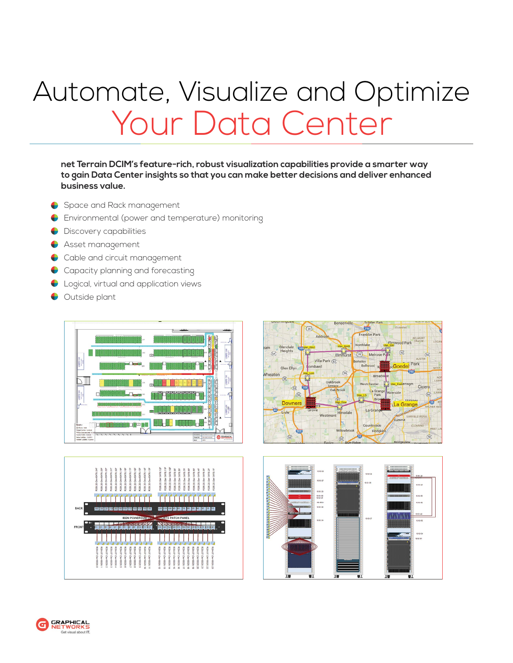## Automate, Visualize and Optimize Your Data Center

**net Terrain DCIM's feature-rich, robust visualization capabilities provide a smarter way to gain Data Center insights so that you can make better decisions and deliver enhanced business value.** 

- Space and Rack management
- Environmental (power and temperature) monitoring ♦
- ♦ Discovery capabilities
- ♦ Asset management
- Cable and circuit management ♦
- Capacity planning and forecasting ♦
- Logical, virtual and application views  $\bullet$
- Outside plant  $\bullet$